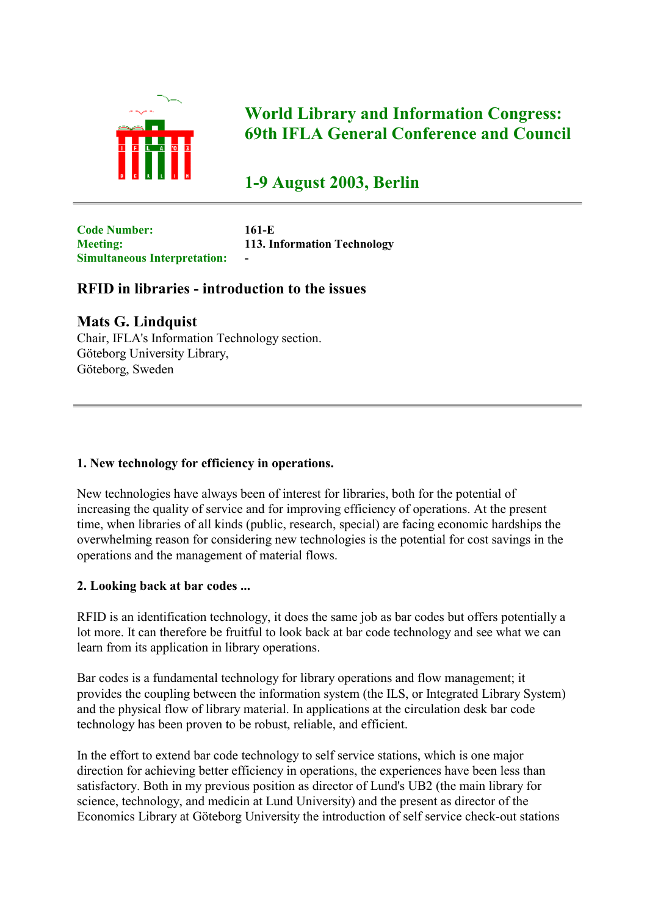

# **World Library and Information Congress: 69th IFLA General Conference and Council**

**1-9 August 2003, Berlin**

**Code Number: 161-E Simultaneous Interpretation: -**

**Meeting: 113. Information Technology**

# **RFID in libraries - introduction to the issues**

## **Mats G. Lindquist**

Chair, IFLA's Information Technology section. Göteborg University Library, Göteborg, Sweden

## **1. New technology for efficiency in operations.**

New technologies have always been of interest for libraries, both for the potential of increasing the quality of service and for improving efficiency of operations. At the present time, when libraries of all kinds (public, research, special) are facing economic hardships the overwhelming reason for considering new technologies is the potential for cost savings in the operations and the management of material flows.

## **2. Looking back at bar codes ...**

RFID is an identification technology, it does the same job as bar codes but offers potentially a lot more. It can therefore be fruitful to look back at bar code technology and see what we can learn from its application in library operations.

Bar codes is a fundamental technology for library operations and flow management; it provides the coupling between the information system (the ILS, or Integrated Library System) and the physical flow of library material. In applications at the circulation desk bar code technology has been proven to be robust, reliable, and efficient.

In the effort to extend bar code technology to self service stations, which is one major direction for achieving better efficiency in operations, the experiences have been less than satisfactory. Both in my previous position as director of Lund's UB2 (the main library for science, technology, and medicin at Lund University) and the present as director of the Economics Library at Göteborg University the introduction of self service check-out stations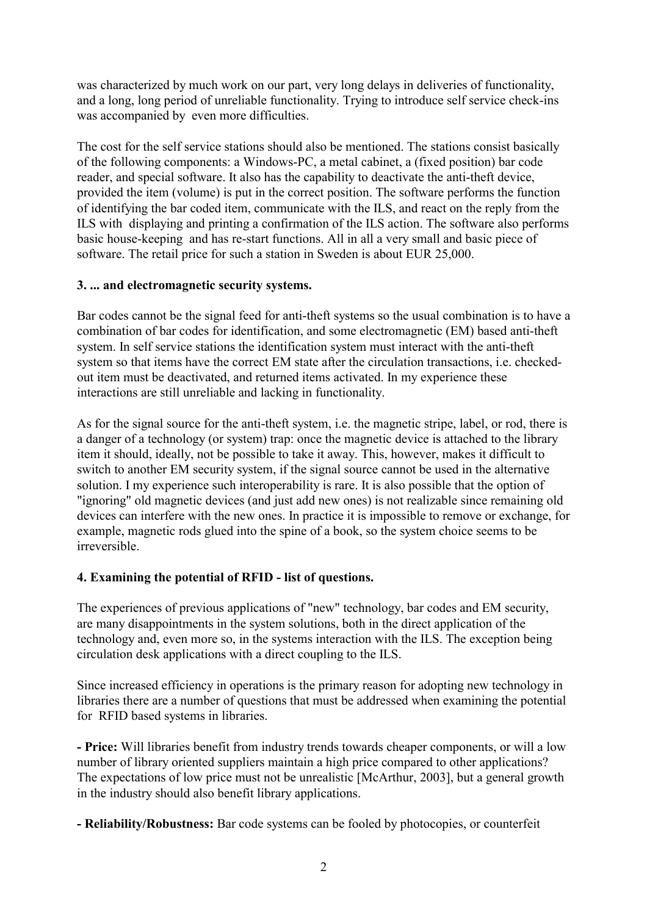was characterized by much work on our part, very long delays in deliveries of functionality, and a long, long period of unreliable functionality. Trying to introduce self service check-ins was accompanied by even more difficulties.

The cost for the self service stations should also be mentioned. The stations consist basically of the following components: a Windows-PC, a metal cabinet, a (fixed position) bar code reader, and special software. It also has the capability to deactivate the anti-theft device, provided the item (volume) is put in the correct position. The software performs the function of identifying the bar coded item, communicate with the ILS, and react on the reply from the ILS with displaying and printing a confirmation of the ILS action. The software also performs basic house-keeping and has re-start functions. All in all a very small and basic piece of software. The retail price for such a station in Sweden is about EUR 25,000.

#### **3. ... and electromagnetic security systems.**

Bar codes cannot be the signal feed for anti-theft systems so the usual combination is to have a combination of bar codes for identification, and some electromagnetic (EM) based anti-theft system. In self service stations the identification system must interact with the anti-theft system so that items have the correct EM state after the circulation transactions, i.e. checkedout item must be deactivated, and returned items activated. In my experience these interactions are still unreliable and lacking in functionality.

As for the signal source for the anti-theft system, i.e. the magnetic stripe, label, or rod, there is a danger of a technology (or system) trap: once the magnetic device is attached to the library item it should, ideally, not be possible to take it away. This, however, makes it difficult to switch to another EM security system, if the signal source cannot be used in the alternative solution. I my experience such interoperability is rare. It is also possible that the option of "ignoring" old magnetic devices (and just add new ones) is not realizable since remaining old devices can interfere with the new ones. In practice it is impossible to remove or exchange, for example, magnetic rods glued into the spine of a book, so the system choice seems to be irreversible.

## **4. Examining the potential of RFID - list of questions.**

The experiences of previous applications of "new" technology, bar codes and EM security, are many disappointments in the system solutions, both in the direct application of the technology and, even more so, in the systems interaction with the ILS. The exception being circulation desk applications with a direct coupling to the ILS.

Since increased efficiency in operations is the primary reason for adopting new technology in libraries there are a number of questions that must be addressed when examining the potential for RFID based systems in libraries.

**- Price:** Will libraries benefit from industry trends towards cheaper components, or will a low number of library oriented suppliers maintain a high price compared to other applications? The expectations of low price must not be unrealistic [McArthur, 2003], but a general growth in the industry should also benefit library applications.

**- Reliability/Robustness:** Bar code systems can be fooled by photocopies, or counterfeit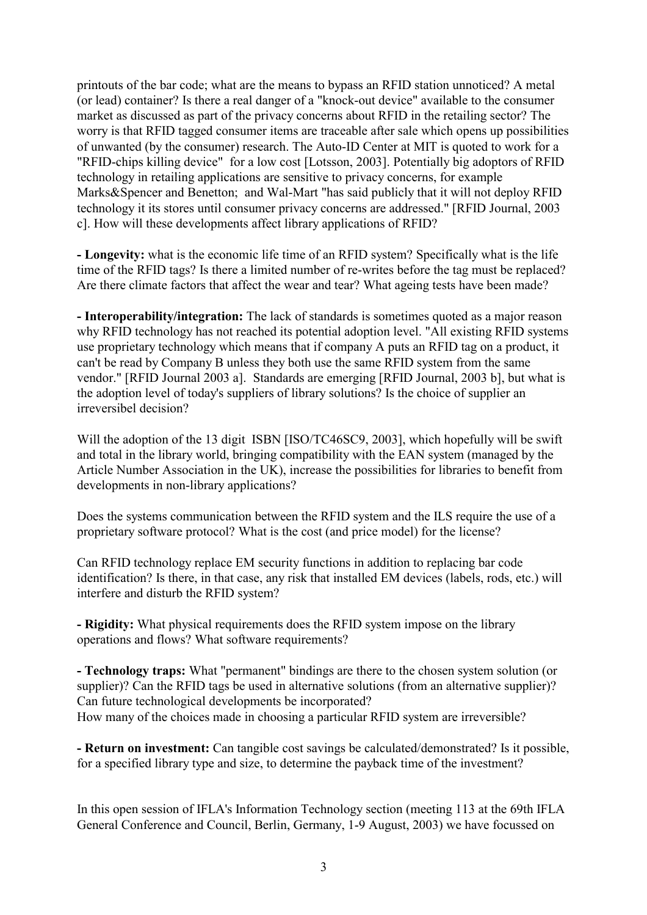printouts of the bar code; what are the means to bypass an RFID station unnoticed? A metal (or lead) container? Is there a real danger of a "knock-out device" available to the consumer market as discussed as part of the privacy concerns about RFID in the retailing sector? The worry is that RFID tagged consumer items are traceable after sale which opens up possibilities of unwanted (by the consumer) research. The Auto-ID Center at MIT is quoted to work for a "RFID-chips killing device" for a low cost [Lotsson, 2003]. Potentially big adoptors of RFID technology in retailing applications are sensitive to privacy concerns, for example Marks&Spencer and Benetton; and Wal-Mart "has said publicly that it will not deploy RFID technology it its stores until consumer privacy concerns are addressed." [RFID Journal, 2003 c]. How will these developments affect library applications of RFID?

**- Longevity:** what is the economic life time of an RFID system? Specifically what is the life time of the RFID tags? Is there a limited number of re-writes before the tag must be replaced? Are there climate factors that affect the wear and tear? What ageing tests have been made?

**- Interoperability/integration:** The lack of standards is sometimes quoted as a major reason why RFID technology has not reached its potential adoption level. "All existing RFID systems use proprietary technology which means that if company A puts an RFID tag on a product, it can't be read by Company B unless they both use the same RFID system from the same vendor." [RFID Journal 2003 a]. Standards are emerging [RFID Journal, 2003 b], but what is the adoption level of today's suppliers of library solutions? Is the choice of supplier an irreversibel decision?

Will the adoption of the 13 digit ISBN [ISO/TC46SC9, 2003], which hopefully will be swift and total in the library world, bringing compatibility with the EAN system (managed by the Article Number Association in the UK), increase the possibilities for libraries to benefit from developments in non-library applications?

Does the systems communication between the RFID system and the ILS require the use of a proprietary software protocol? What is the cost (and price model) for the license?

Can RFID technology replace EM security functions in addition to replacing bar code identification? Is there, in that case, any risk that installed EM devices (labels, rods, etc.) will interfere and disturb the RFID system?

**- Rigidity:** What physical requirements does the RFID system impose on the library operations and flows? What software requirements?

**- Technology traps:** What "permanent" bindings are there to the chosen system solution (or supplier)? Can the RFID tags be used in alternative solutions (from an alternative supplier)? Can future technological developments be incorporated? How many of the choices made in choosing a particular RFID system are irreversible?

**- Return on investment:** Can tangible cost savings be calculated/demonstrated? Is it possible, for a specified library type and size, to determine the payback time of the investment?

In this open session of IFLA's Information Technology section (meeting 113 at the 69th IFLA General Conference and Council, Berlin, Germany, 1-9 August, 2003) we have focussed on